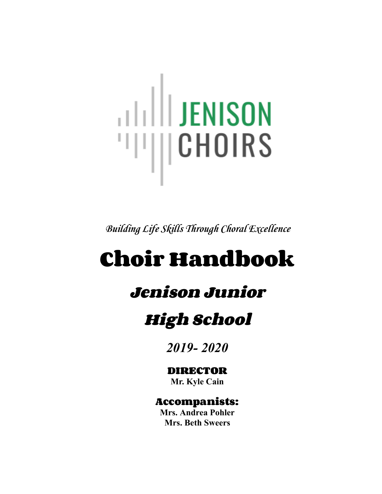# **THE SENSON** "III||CHOIRS

*Building Life Skills Through Choral Excellence*

# **Choir Handbook**

# **Jenison Junior**

# **High School**

*2019- 2020*

# **DIRECTOR**

**Mr. Kyle Cain**

# **Accompanists:**

**Mrs. Andrea Pohler Mrs. Beth Sweers**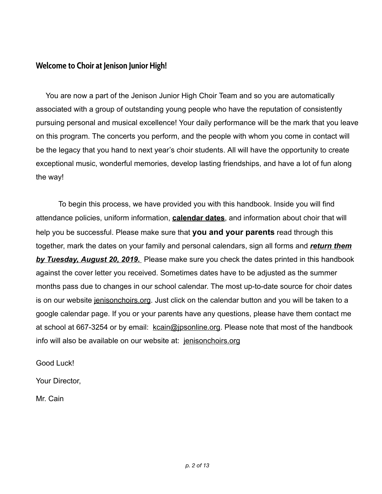# **Welcome to Choir at Jenison Junior High!**

You are now a part of the Jenison Junior High Choir Team and so you are automatically associated with a group of outstanding young people who have the reputation of consistently pursuing personal and musical excellence! Your daily performance will be the mark that you leave on this program. The concerts you perform, and the people with whom you come in contact will be the legacy that you hand to next year's choir students. All will have the opportunity to create exceptional music, wonderful memories, develop lasting friendships, and have a lot of fun along the way!

To begin this process, we have provided you with this handbook. Inside you will find attendance policies, uniform information, **calendar dates** , and information about choir that will help you be successful. Please make sure that **you and your parents** read through this together, mark the dates on your family and personal calendars, sign all forms and *return them by Tuesday, August 20, 2019.* Please make sure you check the dates printed in this handbook against the cover letter you received. Sometimes dates have to be adjusted as the summer months pass due to changes in our school calendar. The most up-to-date source for choir dates is on our website jenisonchoirs.org. Just click on the calendar button and you will be taken to a google calendar page. If you or your parents have any questions, please have them contact me at school at 667-3254 or by email: kcain@jpsonline.org. Please note that most of the handbook info will also be available on our website at: jenisonchoirs.org

Good Luck!

Your Director,

Mr. Cain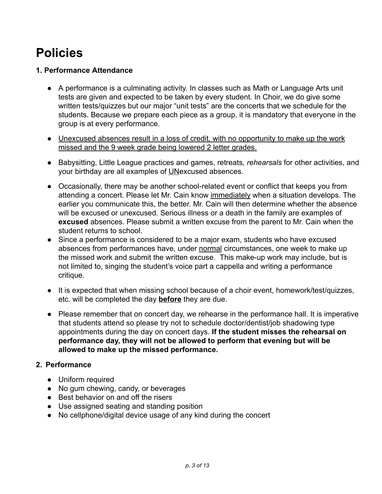# **Policies**

# **1. Performance Attendance**

- A performance is a culminating activity. In classes such as Math or Language Arts unit tests are given and expected to be taken by every student. In Choir, we do give some written tests/quizzes but our major "unit tests" are the concerts that we schedule for the students. Because we prepare each piece as a group, it is mandatory that everyone in the group is at every performance.
- Unexcused absences result in a loss of credit, with no opportunity to make up the work missed and the 9 week grade being lowered 2 letter grades.
- Babysitting, Little League practices and games, retreats, *rehearsals* for other activities, and your birthday are all examples of UNexcused absences.
- Occasionally, there may be another school-related event or conflict that keeps you from attending a concert. Please let Mr. Cain know immediatelywhen a situation develops. The earlier you communicate this, the better. Mr. Cain will then determine whether the absence will be excused or unexcused. Serious illness or a death in the family are examples of **excused** absences. Please submit a written excuse from the parent to Mr. Cain when the student returns to school.
- Since a performance is considered to be a major exam, students who have excused absences from performances have, under normal circumstances, one week to make up the missed work and submit the written excuse. This make-up work may include, but is not limited to, singing the student's voice part a cappella and writing a performance critique.
- It is expected that when missing school because of a choir event, homework/test/quizzes, etc. will be completed the day **before** they are due.
- Please remember that on concert day, we rehearse in the performance hall. It is imperative that students attend so please try not to schedule doctor/dentist/job shadowing type appointments during the day on concert days. **If the student misses the rehearsal on performance day, they will not be allowed to perform that evening but will be allowed to make up the missed performance.**

# **2. Performance**

- Uniform required
- No gum chewing, candy, or beverages
- Best behavior on and off the risers
- Use assigned seating and standing position
- No cellphone/digital device usage of any kind during the concert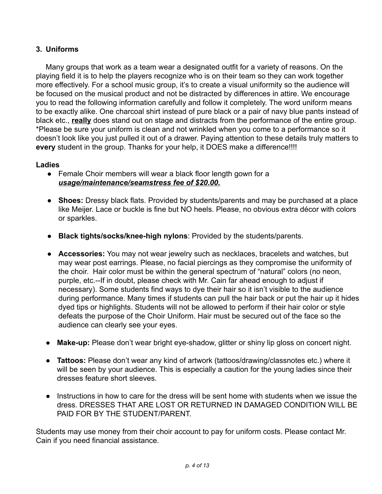# **3. Uniforms**

Many groups that work as a team wear a designated outfit for a variety of reasons. On the playing field it is to help the players recognize who is on their team so they can work together more effectively. For a school music group, it's to create a visual uniformity so the audience will be focused on the musical product and not be distracted by differences in attire. We encourage you to read the following information carefully and follow it completely. The word uniform means to be exactly alike. One charcoal shirt instead of pure black or a pair of navy blue pants instead of black etc., **really** does stand out on stage and distracts from the performance of the entire group. \*Please be sure your uniform is clean and not wrinkled when you come to a performance so it doesn't look like you just pulled it out of a drawer. Paying attention to these details truly matters to **every** student in the group. Thanks for your help, it DOES make a difference!!!!

## **Ladies**

- Female Choir members will wear a black floor length gown for a *usage/maintenance/seamstress fee of \$20.00.*
- **Shoes:** Dressy black flats. Provided by students/parents and may be purchased at a place like Meijer. Lace or buckle is fine but NO heels. Please, no obvious extra décor with colors or sparkles.
- **Black tights/socks/knee-high nylons** : Provided by the students/parents.
- **Accessories:** You may not wear jewelry such as necklaces, bracelets and watches, but may wear post earrings. Please, no facial piercings as they compromise the uniformity of the choir. Hair color must be within the general spectrum of "natural" colors (no neon, purple, etc.--If in doubt, please check with Mr. Cain far ahead enough to adjust if necessary). Some students find ways to dye their hair so it isn't visible to the audience during performance. Many times if students can pull the hair back or put the hair up it hides dyed tips or highlights. Students will not be allowed to perform if their hair color or style defeats the purpose of the Choir Uniform. Hair must be secured out of the face so the audience can clearly see your eyes.
- **Make-up:** Please don't wear bright eye-shadow, glitter or shiny lip gloss on concert night.
- **Tattoos:** Please don't wear any kind of artwork (tattoos/drawing/classnotes etc.) where it will be seen by your audience. This is especially a caution for the young ladies since their dresses feature short sleeves.
- Instructions in how to care for the dress will be sent home with students when we issue the dress. DRESSES THAT ARE LOST OR RETURNED IN DAMAGED CONDITION WILL BE PAID FOR BY THE STUDENT/PARENT.

Students may use money from their choir account to pay for uniform costs. Please contact Mr. Cain if you need financial assistance.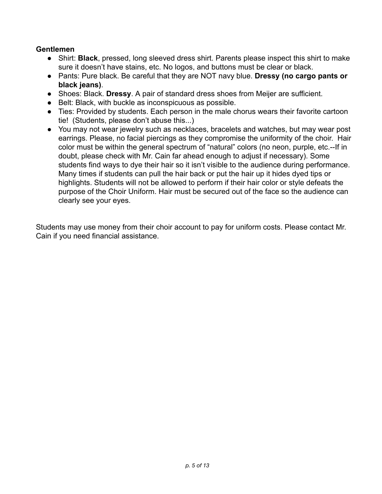## **Gentlemen**

- Shirt: **Black** , pressed, long sleeved dress shirt. Parents please inspect this shirt to make sure it doesn't have stains, etc. No logos, and buttons must be clear or black.
- Pants: Pure black. Be careful that they are NOT navy blue. **Dressy (no cargo pants or black jeans)** .
- Shoes: Black. **Dressy** . A pair of standard dress shoes from Meijer are sufficient.
- Belt: Black, with buckle as inconspicuous as possible.
- Ties: Provided by students. Each person in the male chorus wears their favorite cartoon tie! (Students, please don't abuse this...)
- You may not wear jewelry such as necklaces, bracelets and watches, but may wear post earrings. Please, no facial piercings as they compromise the uniformity of the choir. Hair color must be within the general spectrum of "natural" colors (no neon, purple, etc.--If in doubt, please check with Mr. Cain far ahead enough to adjust if necessary). Some students find ways to dye their hair so it isn't visible to the audience during performance. Many times if students can pull the hair back or put the hair up it hides dyed tips or highlights. Students will not be allowed to perform if their hair color or style defeats the purpose of the Choir Uniform. Hair must be secured out of the face so the audience can clearly see your eyes.

Students may use money from their choir account to pay for uniform costs. Please contact Mr. Cain if you need financial assistance.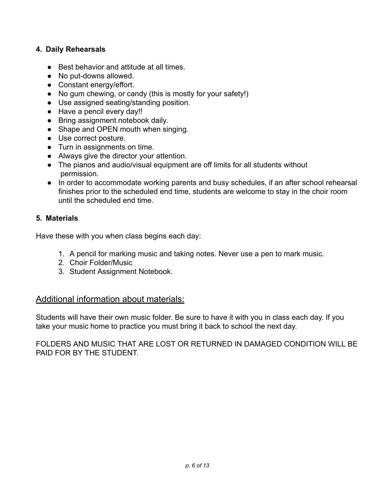## **4. Daily Rehearsals**

- Best behavior and attitude at all times.
- No put-downs allowed.
- Constant energy/effort.
- No gum chewing, or candy (this is mostly for your safety!)
- Use assigned seating/standing position.
- Have a pencil every day!!
- Bring assignment notebook daily.
- Shape and OPEN mouth when singing.
- Use correct posture.
- Turn in assignments on time.
- Always give the director your attention.
- The pianos and audio/visual equipment are off limits for all students without permission.
- In order to accommodate working parents and busy schedules, if an after school rehearsal finishes prior to the scheduled end time, students are welcome to stay in the choir room until the scheduled end time.

## **5. Materials**

Have these with you when class begins each day:

- 1. A pencil for marking music and taking notes. Never use a pen to mark music.
- 2. Choir Folder/Music
- 3. Student Assignment Notebook.

# Additional information about materials:

Students will have their own music folder. Be sure to have it with you in class each day. If you take your music home to practice you must bring it back to school the next day.

FOLDERS AND MUSIC THAT ARE LOST OR RETURNED IN DAMAGED CONDITION WILL BE PAID FOR BY THE STUDENT.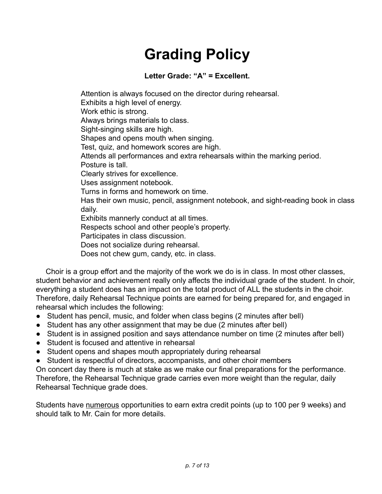# **Grading Policy**

# **Letter Grade: "A" = Excellent.**

Attention is always focused on the director during rehearsal. Exhibits a high level of energy. Work ethic is strong. Always brings materials to class. Sight-singing skills are high. Shapes and opens mouth when singing. Test, quiz, and homework scores are high. Attends all performances and extra rehearsals within the marking period. Posture is tall. Clearly strives for excellence. Uses assignment notebook. Turns in forms and homework on time. Has their own music, pencil, assignment notebook, and sight-reading book in class daily. Exhibits mannerly conduct at all times. Respects school and other people's property. Participates in class discussion. Does not socialize during rehearsal.

Does not chew gum, candy, etc. in class.

Choir is a group effort and the majority of the work we do is in class. In most other classes, student behavior and achievement really only affects the individual grade of the student. In choir, everything a student does has an impact on the total product of ALL the students in the choir. Therefore, daily Rehearsal Technique points are earned for being prepared for, and engaged in rehearsal which includes the following:

- Student has pencil, music, and folder when class begins (2 minutes after bell)
- Student has any other assignment that may be due (2 minutes after bell)
- Student is in assigned position and says attendance number on time (2 minutes after bell)
- Student is focused and attentive in rehearsal
- Student opens and shapes mouth appropriately during rehearsal
- Student is respectful of directors, accompanists, and other choir members

On concert day there is much at stake as we make our final preparations for the performance. Therefore, the Rehearsal Technique grade carries even more weight than the regular, daily Rehearsal Technique grade does.

Students have numerous opportunities to earn extra credit points (up to 100 per 9 weeks) and should talk to Mr. Cain for more details.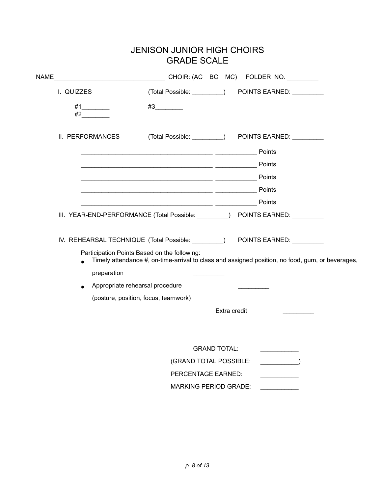# JENISON JUNIOR HIGH CHOIRS GRADE SCALE

| NAME             |                                                                                                                                                                                                                                |  |
|------------------|--------------------------------------------------------------------------------------------------------------------------------------------------------------------------------------------------------------------------------|--|
| I. QUIZZES       | (Total Possible: ________) POINTS EARNED: ________                                                                                                                                                                             |  |
| #1<br>#2         | #3                                                                                                                                                                                                                             |  |
| II. PERFORMANCES | (Total Possible: _________) POINTS EARNED: _________                                                                                                                                                                           |  |
|                  | Points                                                                                                                                                                                                                         |  |
|                  | Points                                                                                                                                                                                                                         |  |
|                  | Points                                                                                                                                                                                                                         |  |
|                  | Points                                                                                                                                                                                                                         |  |
|                  | Points                                                                                                                                                                                                                         |  |
|                  | III. YEAR-END-PERFORMANCE (Total Possible: ________) POINTS EARNED: ________                                                                                                                                                   |  |
|                  | IV. REHEARSAL TECHNIQUE (Total Possible: ________) POINTS EARNED: ________<br>Participation Points Based on the following:<br>Timely attendance #, on-time-arrival to class and assigned position, no food, gum, or beverages, |  |
| preparation      |                                                                                                                                                                                                                                |  |
|                  | Appropriate rehearsal procedure                                                                                                                                                                                                |  |
|                  | (posture, position, focus, teamwork)                                                                                                                                                                                           |  |
|                  | Extra credit                                                                                                                                                                                                                   |  |
|                  |                                                                                                                                                                                                                                |  |
|                  |                                                                                                                                                                                                                                |  |
|                  | <b>GRAND TOTAL:</b>                                                                                                                                                                                                            |  |
|                  | (GRAND TOTAL POSSIBLE:                                                                                                                                                                                                         |  |
|                  | PERCENTAGE EARNED:                                                                                                                                                                                                             |  |
|                  | <b>MARKING PERIOD GRADE:</b>                                                                                                                                                                                                   |  |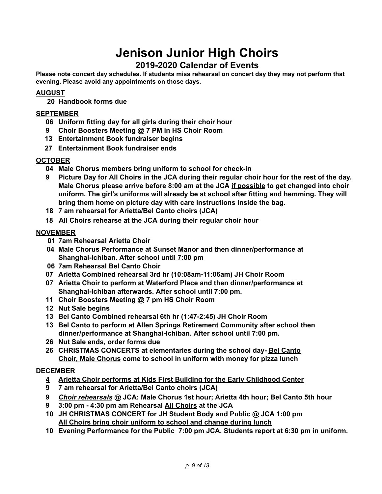# **Jenison Junior High Choirs**

# **2019-2020 Calendar of Events**

**Please note concert day schedules. If students miss rehearsal on concert day they may not perform that evening. Please avoid any appointments on those days.**

## **AUGUST**

**20 Handbook forms due**

#### **SEPTEMBER**

- **06 Uniform fitting day for all girls during their choir hour**
- **9 Choir Boosters Meeting @ 7 PM in HS Choir Room**
- **13 Entertainment Book fundraiser begins**
- **27 Entertainment Book fundraiser ends**

#### **OCTOBER**

- **04 Male Chorus members bring uniform to school for check-in**
- 9 Picture Day for All Choirs in the JCA during their regular choir hour for the rest of the day. **Male Chorus please arrive before 8:00 am at the JCA if possible to get changed into choir uniform. The girl's uniforms will already be at school after fitting and hemming. They will bring them home on picture day with care instructions inside the bag.**
- **18 7 am rehearsal for Arietta/Bel Canto choirs (JCA)**
- **18 All Choirs rehearse at the JCA during their regular choir hour**

#### **NOVEMBER**

- **01 7am Rehearsal Arietta Choir**
- **04 Male Chorus Performance at Sunset Manor and then dinner/performance at Shanghai-Ichiban. After school until 7:00 pm**
- **06 7am Rehearsal Bel Canto Choir**
- **07 Arietta Combined rehearsal 3rd hr (10:08am-11:06am) JH Choir Room**
- **07 Arietta Choir to perform at Waterford Place and then dinner/performance at Shanghai-Ichiban afterwards. After school until 7:00 pm.**
- **11 Choir Boosters Meeting @ 7 pm HS Choir Room**
- **12 Nut Sale begins**
- **13 Bel Canto Combined rehearsal 6th hr (1:47-2:45) JH Choir Room**
- **13 Bel Canto to perform at Allen Springs Retirement Community after school then dinner/performance at Shanghai-Ichiban. After school until 7:00 pm.**
- **26 Nut Sale ends, order forms due**
- **26 CHRISTMAS CONCERTS at elementaries during the school day- Bel Canto Choir, Male Chorus come to school in uniform with money for pizza lunch**

#### **DECEMBER**

- **4 Arietta Choir performs at Kids First Building for the Early Childhood Center**
- **9 7 am rehearsal for Arietta/Bel Canto choirs (JCA)**
- **9** *Choir rehearsals* **@ JCA: Male Chorus 1st hour; Arietta 4th hour; Bel Canto 5th hour**
- **9 3:00 pm - 4:30 pm am Rehearsal All Choirs at the JCA**
- **10 JH CHRISTMAS CONCERT for JH Student Body and Public @ JCA 1:00 pm All Choirs bring choir uniform to school and change during lunch**
- **10 Evening Performance for the Public 7:00 pm JCA. Students report at 6:30 pm in uniform.**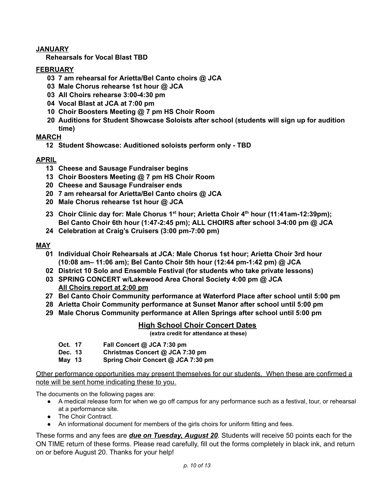#### **JANUARY**

**Rehearsals for Vocal Blast TBD**

#### **FEBRUARY**

- **03 7 am rehearsal for Arietta/Bel Canto choirs @ JCA**
- **03 Male Chorus rehearse 1st hour @ JCA**
- **03 All Choirs rehearse 3:00-4:30 pm**
- **04 Vocal Blast at JCA at 7:00 pm**
- **10 Choir Boosters Meeting @ 7 pm HS Choir Room**
- **20 Auditions for Student Showcase Soloists after school (students will sign up for audition time)**

## **MARCH**

**12 Student Showcase: Auditioned soloists perform only - TBD**

## **APRIL**

- **13 Cheese and Sausage Fundraiser begins**
- **13 Choir Boosters Meeting @ 7 pm HS Choir Room**
- **20 Cheese and Sausage Fundraiser ends**
- **20 7 am rehearsal for Arietta/Bel Canto choirs @ JCA**
- **20 Male Chorus rehearse 1st hour @ JCA**
- **23 Choir Clinic day for: Male Chorus 1 st hour; Arietta Choir 4 th hour (11:41am-12:39pm); Bel Canto Choir 6th hour (1:47-2:45 pm); ALL CHOIRS after school 3-4:00 pm @ JCA**
- **24 Celebration at Craig's Cruisers (3:00 pm-7:00 pm)**

#### **MAY**

- **01 Individual Choir Rehearsals at JCA: Male Chorus 1st hour; Arietta Choir 3rd hour (10:08 am– 11:06 am); Bel Canto Choir 5th hour (12:44 pm-1:42 pm) @ JCA**
- **02 District 10 Solo and Ensemble Festival (for students who take private lessons)**
- **03 SPRING CONCERT w/Lakewood Area Choral Society 4:00 pm @ JCA All Choirs report at 2:00 pm**
- **27 Bel Canto Choir Community performance at Waterford Place after school until 5:00 pm**
- **28 Arietta Choir Community performance at Sunset Manor after school until 5:00 pm**
- **29 Male Chorus Community performance at Allen Springs after school until 5:00 pm**

## **High School Choir Concert Dates**

 **(extra credit for attendance at these)**

- **Oct. 17 Fall Concert @ JCA 7:30 pm**
- **Dec. 13 Christmas Concert @ JCA 7:30 pm**
- **May 13 Spring Choir Concert @ JCA 7:30 pm**

Other performance opportunities may present themselves for our students. When these are confirmed a note will be sent home indicating these to you.

The documents on the following pages are:

- A medical release form for when we go off campus for any performance such as a festival, tour, or rehearsal at a performance site.
- The Choir Contract.
- An informational document for members of the girls choirs for uniform fitting and fees.

These forms and any fees are *due on Tuesday, August 20*. Students will receive 50 points each for the ON TIME return of these forms. Please read carefully, fill out the forms completely in black ink, and return on or before August 20. Thanks for your help!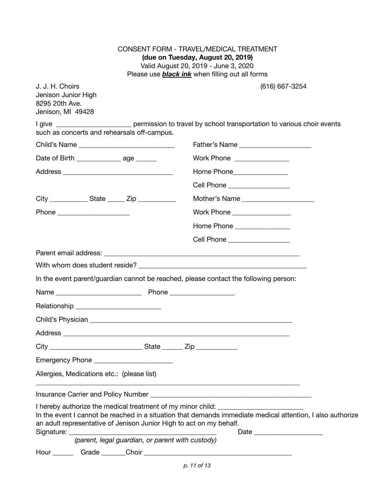CONSENT FORM - TRAVEL/MEDICAL TREATMENT **(due on Tuesday, August 20, 2019)** Valid August 20, 2019 - June 3, 2020 Please use *black ink* when filling out all forms

| J. J. H. Choirs<br>Jenison Junior High<br>8295 20th Ave.<br>Jenison, MI 49428                                                                           | (616) 667-3254                                                                                             |
|---------------------------------------------------------------------------------------------------------------------------------------------------------|------------------------------------------------------------------------------------------------------------|
| such as concerts and rehearsals off-campus.                                                                                                             | I give ________________________ permission to travel by school transportation to various choir events      |
|                                                                                                                                                         |                                                                                                            |
| Date of Birth __________________ age ______                                                                                                             | Work Phone _________________                                                                               |
|                                                                                                                                                         | Home Phone_______________                                                                                  |
|                                                                                                                                                         | Cell Phone __________________                                                                              |
| City _________________ State ________ Zip ______________                                                                                                | Mother's Name ______________________                                                                       |
| Phone ________________________                                                                                                                          | Work Phone _________________                                                                               |
|                                                                                                                                                         | Home Phone _________________                                                                               |
|                                                                                                                                                         | Cell Phone __________________                                                                              |
|                                                                                                                                                         |                                                                                                            |
|                                                                                                                                                         |                                                                                                            |
| In the event parent/guardian cannot be reached, please contact the following person:                                                                    |                                                                                                            |
|                                                                                                                                                         |                                                                                                            |
|                                                                                                                                                         |                                                                                                            |
|                                                                                                                                                         |                                                                                                            |
|                                                                                                                                                         |                                                                                                            |
|                                                                                                                                                         |                                                                                                            |
| Emergency Phone _________                                                                                                                               |                                                                                                            |
| Allergies, Medications etc.: (please list)                                                                                                              |                                                                                                            |
|                                                                                                                                                         |                                                                                                            |
| I hereby authorize the medical treatment of my minor child: ____________________<br>an adult representative of Jenison Junior High to act on my behalf. | In the event I cannot be reached in a situation that demands immediate medical attention, I also authorize |
| (parent, legal guardian, or parent with custody)                                                                                                        |                                                                                                            |
| Grade ______<br>Hour $\_\_$                                                                                                                             |                                                                                                            |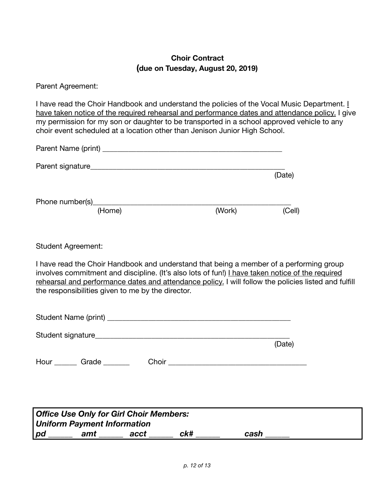# **Choir Contract (due on Tuesday, August 20, 2019)**

Parent Agreement:

I have read the Choir Handbook and understand the policies of the Vocal Music Department. *I* have taken notice of the required rehearsal and performance dates and attendance policy. I give my permission for my son or daughter to be transported in a school approved vehicle to any choir event scheduled at a location other than Jenison Junior High School.

| Parent Name (print) __ |        |        |        |
|------------------------|--------|--------|--------|
| Parent signature_      |        |        |        |
|                        |        |        | (Date) |
|                        |        |        |        |
| Phone number(s)        |        |        |        |
|                        | (Home) | (Work) | (Cell) |

Student Agreement:

I have read the Choir Handbook and understand that being a member of a performing group involves commitment and discipline. (It's also lots of fun!) I have taken notice of the required rehearsal and performance dates and attendance policy. I will follow the policies listed and fulfill the responsibilities given to me by the director.

|      | Student Name (print) |       |        |
|------|----------------------|-------|--------|
|      | Student signature    |       |        |
|      |                      |       | (Date) |
| Hour | Grade                | Choir |        |

| <b>Office Use Only for Girl Choir Members:</b> |     |      |     |      |
|------------------------------------------------|-----|------|-----|------|
| Uniform Payment Information                    |     |      |     |      |
| pd                                             | amt | acct | ck# | cash |